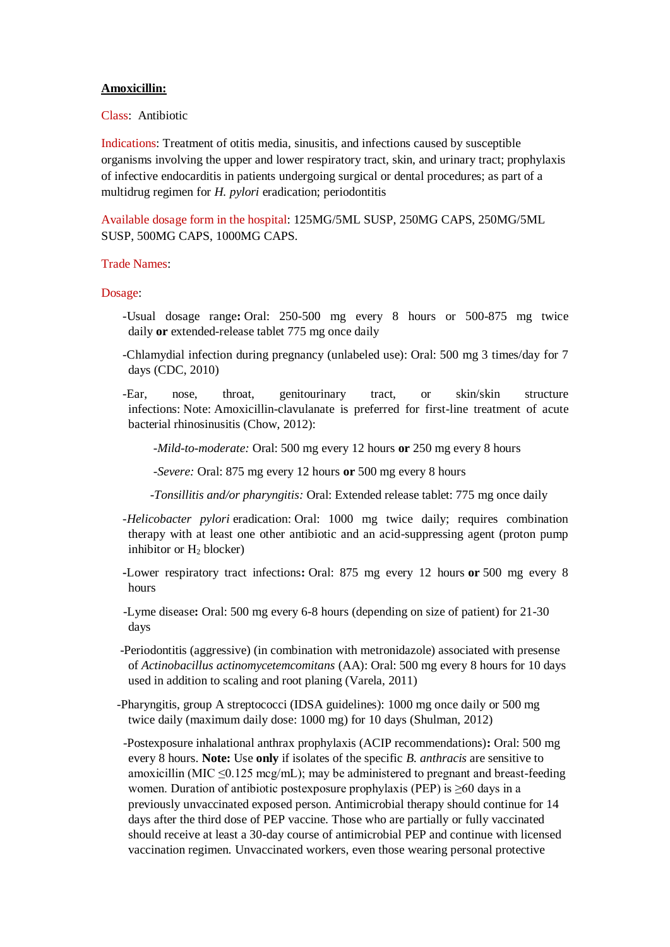## **Amoxicillin:**

Class: Antibiotic

Indications: Treatment of otitis media, sinusitis, and infections caused by susceptible organisms involving the upper and lower respiratory tract, skin, and urinary tract; prophylaxis of infective endocarditis in patients undergoing surgical or dental procedures; as part of a multidrug regimen for *H. pylori* eradication; periodontitis

Available dosage form in the hospital: 125MG/5ML SUSP, 250MG CAPS, 250MG/5ML SUSP, 500MG CAPS, 1000MG CAPS.

## Trade Names:

## Dosage:

- -Usual dosage range**:** Oral: 250-500 mg every 8 hours or 500-875 mg twice daily **or** extended-release tablet 775 mg once daily
- -Chlamydial infection during pregnancy (unlabeled use): Oral: 500 mg 3 times/day for 7 days (CDC, 2010)
- -Ear, nose, throat, genitourinary tract, or skin/skin structure infections: Note: Amoxicillin-clavulanate is preferred for first-line treatment of acute bacterial rhinosinusitis (Chow, 2012):

 *-Mild-to-moderate:* Oral: 500 mg every 12 hours **or** 250 mg every 8 hours

 *-Severe:* Oral: 875 mg every 12 hours **or** 500 mg every 8 hours

 *-Tonsillitis and/or pharyngitis:* Oral: Extended release tablet: 775 mg once daily

- *-Helicobacter pylori* eradication: Oral: 1000 mg twice daily; requires combination therapy with at least one other antibiotic and an acid-suppressing agent (proton pump inhibitor or  $H_2$  blocker)
- **-**Lower respiratory tract infections**:** Oral: 875 mg every 12 hours **or** 500 mg every 8 hours
- -Lyme disease**:** Oral: 500 mg every 6-8 hours (depending on size of patient) for 21-30 days
- -Periodontitis (aggressive) (in combination with metronidazole) associated with presense of *Actinobacillus actinomycetemcomitans* (AA): Oral: 500 mg every 8 hours for 10 days used in addition to scaling and root planing (Varela, 2011)
- -Pharyngitis, group A streptococci (IDSA guidelines): 1000 mg once daily or 500 mg twice daily (maximum daily dose: 1000 mg) for 10 days (Shulman, 2012)
- -Postexposure inhalational anthrax prophylaxis (ACIP recommendations)**:** Oral: 500 mg every 8 hours. **Note:** Use **only** if isolates of the specific *B. anthracis* are sensitive to amoxicillin (MIC  $\leq$ 0.125 mcg/mL); may be administered to pregnant and breast-feeding women. Duration of antibiotic postexposure prophylaxis (PEP) is ≥60 days in a previously unvaccinated exposed person. Antimicrobial therapy should continue for 14 days after the third dose of PEP vaccine. Those who are partially or fully vaccinated should receive at least a 30-day course of antimicrobial PEP and continue with licensed vaccination regimen. Unvaccinated workers, even those wearing personal protective